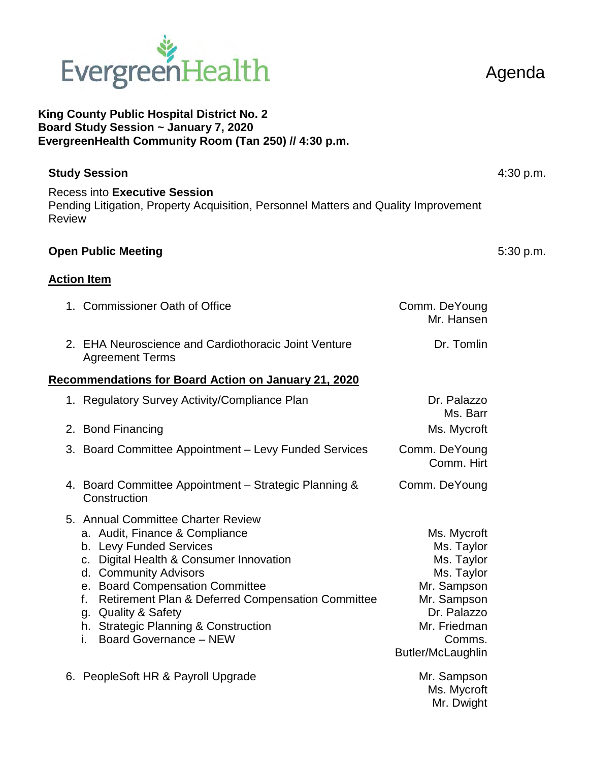

## **King County Public Hospital District No. 2 Board Study Session ~ January 7, 2020 EvergreenHealth Community Room (Tan 250) // 4:30 p.m.**

| <b>Study Session</b>                                                                                                                         | $4:30$ p.m. |
|----------------------------------------------------------------------------------------------------------------------------------------------|-------------|
| <b>Recess into Executive Session</b><br>Pending Litigation, Property Acquisition, Personnel Matters and Quality Improvement<br><b>Review</b> |             |
| <b>Open Public Meeting</b>                                                                                                                   | 5:30 p.m.   |

## **Action Item**

|                                                      | 1. Commissioner Oath of Office                                                                                                                                                                                                                                                                                                                                             | Comm. DeYoung<br>Mr. Hansen                                                                                                                       |  |  |
|------------------------------------------------------|----------------------------------------------------------------------------------------------------------------------------------------------------------------------------------------------------------------------------------------------------------------------------------------------------------------------------------------------------------------------------|---------------------------------------------------------------------------------------------------------------------------------------------------|--|--|
|                                                      | 2. EHA Neuroscience and Cardiothoracic Joint Venture<br><b>Agreement Terms</b>                                                                                                                                                                                                                                                                                             | Dr. Tomlin                                                                                                                                        |  |  |
| Recommendations for Board Action on January 21, 2020 |                                                                                                                                                                                                                                                                                                                                                                            |                                                                                                                                                   |  |  |
|                                                      | 1. Regulatory Survey Activity/Compliance Plan                                                                                                                                                                                                                                                                                                                              | Dr. Palazzo<br>Ms. Barr                                                                                                                           |  |  |
|                                                      | 2. Bond Financing                                                                                                                                                                                                                                                                                                                                                          | Ms. Mycroft                                                                                                                                       |  |  |
| 3.                                                   | <b>Board Committee Appointment – Levy Funded Services</b>                                                                                                                                                                                                                                                                                                                  | Comm. DeYoung<br>Comm. Hirt                                                                                                                       |  |  |
|                                                      | 4. Board Committee Appointment – Strategic Planning &<br>Construction                                                                                                                                                                                                                                                                                                      | Comm. DeYoung                                                                                                                                     |  |  |
|                                                      | 5. Annual Committee Charter Review<br>a. Audit, Finance & Compliance<br>b. Levy Funded Services<br>Digital Health & Consumer Innovation<br>C.<br>d. Community Advisors<br>e. Board Compensation Committee<br>Retirement Plan & Deferred Compensation Committee<br>f.<br>g. Quality & Safety<br>h. Strategic Planning & Construction<br><b>Board Governance - NEW</b><br>i. | Ms. Mycroft<br>Ms. Taylor<br>Ms. Taylor<br>Ms. Taylor<br>Mr. Sampson<br>Mr. Sampson<br>Dr. Palazzo<br>Mr. Friedman<br>Comms.<br>Butler/McLaughlin |  |  |
| 6.                                                   | PeopleSoft HR & Payroll Upgrade                                                                                                                                                                                                                                                                                                                                            | Mr. Sampson<br>Ms. Mycroft<br>Mr. Dwight                                                                                                          |  |  |